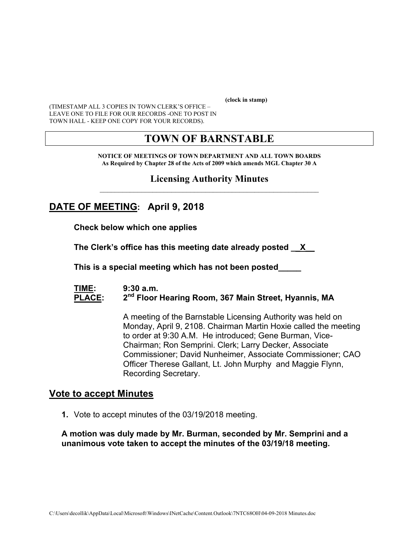**(clock in stamp)** 

(TIMESTAMP ALL 3 COPIES IN TOWN CLERK'S OFFICE – LEAVE ONE TO FILE FOR OUR RECORDS -ONE TO POST IN TOWN HALL - KEEP ONE COPY FOR YOUR RECORDS).

# **TOWN OF BARNSTABLE**

**NOTICE OF MEETINGS OF TOWN DEPARTMENT AND ALL TOWN BOARDS As Required by Chapter 28 of the Acts of 2009 which amends MGL Chapter 30 A** 

#### **Licensing Authority Minutes**  $\mathcal{L}_\text{max}$  and the contract of the contract of the contract of the contract of the contract of the contract of the contract of the contract of the contract of the contract of the contract of the contract of the contrac

# **DATE OF MEETING: April 9, 2018**

**Check below which one applies** 

**The Clerk's office has this meeting date already posted \_\_X\_\_** 

 **This is a special meeting which has not been posted\_\_\_\_\_** 

#### **TIME: 9:30 a.m.**  PLACE: 2<sup>nd</sup> Floor Hearing Room, 367 Main Street, Hyannis, MA

A meeting of the Barnstable Licensing Authority was held on Monday, April 9, 2108. Chairman Martin Hoxie called the meeting to order at 9:30 A.M. He introduced; Gene Burman, Vice-Chairman; Ron Semprini. Clerk; Larry Decker, Associate Commissioner; David Nunheimer, Associate Commissioner; CAO Officer Therese Gallant, Lt. John Murphy and Maggie Flynn, Recording Secretary.

#### **Vote to accept Minutes**

**1.** Vote to accept minutes of the 03/19/2018 meeting.

#### **A motion was duly made by Mr. Burman, seconded by Mr. Semprini and a unanimous vote taken to accept the minutes of the 03/19/18 meeting.**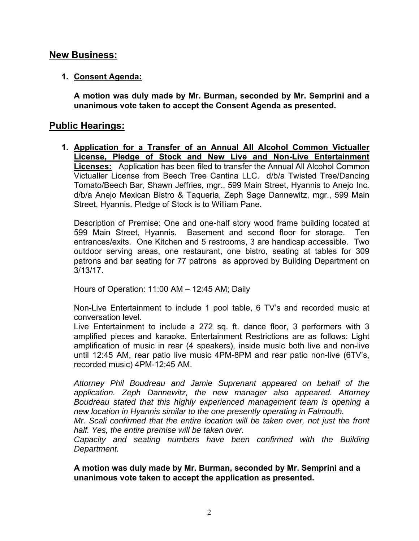## **New Business:**

#### **1. Consent Agenda:**

**A motion was duly made by Mr. Burman, seconded by Mr. Semprini and a unanimous vote taken to accept the Consent Agenda as presented.**

## **Public Hearings:**

**1. Application for a Transfer of an Annual All Alcohol Common Victualler License, Pledge of Stock and New Live and Non-Live Entertainment Licenses:** Application has been filed to transfer the Annual All Alcohol Common Victualler License from Beech Tree Cantina LLC. d/b/a Twisted Tree/Dancing Tomato/Beech Bar, Shawn Jeffries, mgr., 599 Main Street, Hyannis to Anejo Inc. d/b/a Anejo Mexican Bistro & Taqueria, Zeph Sage Dannewitz, mgr., 599 Main Street, Hyannis. Pledge of Stock is to William Pane.

Description of Premise: One and one-half story wood frame building located at 599 Main Street, Hyannis. Basement and second floor for storage. Ten entrances/exits. One Kitchen and 5 restrooms, 3 are handicap accessible. Two outdoor serving areas, one restaurant, one bistro, seating at tables for 309 patrons and bar seating for 77 patrons as approved by Building Department on 3/13/17.

Hours of Operation: 11:00 AM – 12:45 AM; Daily

Non-Live Entertainment to include 1 pool table, 6 TV's and recorded music at conversation level.

Live Entertainment to include a 272 sq. ft. dance floor, 3 performers with 3 amplified pieces and karaoke. Entertainment Restrictions are as follows: Light amplification of music in rear (4 speakers), inside music both live and non-live until 12:45 AM, rear patio live music 4PM-8PM and rear patio non-live (6TV's, recorded music) 4PM-12:45 AM.

*Attorney Phil Boudreau and Jamie Suprenant appeared on behalf of the application. Zeph Dannewitz, the new manager also appeared. Attorney Boudreau stated that this highly experienced management team is opening a new location in Hyannis similar to the one presently operating in Falmouth.* 

*Mr. Scali confirmed that the entire location will be taken over, not just the front half. Yes, the entire premise will be taken over.* 

*Capacity and seating numbers have been confirmed with the Building Department.* 

**A motion was duly made by Mr. Burman, seconded by Mr. Semprini and a unanimous vote taken to accept the application as presented.**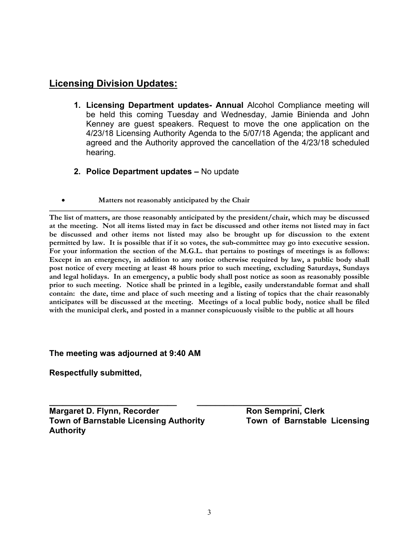# **Licensing Division Updates:**

- **1. Licensing Department updates- Annual** Alcohol Compliance meeting will be held this coming Tuesday and Wednesday, Jamie Binienda and John Kenney are guest speakers. Request to move the one application on the 4/23/18 Licensing Authority Agenda to the 5/07/18 Agenda; the applicant and agreed and the Authority approved the cancellation of the 4/23/18 scheduled hearing.
- **2. Police Department updates** No update
- **Matters not reasonably anticipated by the Chair**

**The list of matters, are those reasonably anticipated by the president/chair, which may be discussed at the meeting. Not all items listed may in fact be discussed and other items not listed may in fact be discussed and other items not listed may also be brought up for discussion to the extent permitted by law. It is possible that if it so votes, the sub-committee may go into executive session. For your information the section of the M.G.L. that pertains to postings of meetings is as follows: Except in an emergency, in addition to any notice otherwise required by law, a public body shall post notice of every meeting at least 48 hours prior to such meeting, excluding Saturdays, Sundays and legal holidays. In an emergency, a public body shall post notice as soon as reasonably possible prior to such meeting. Notice shall be printed in a legible, easily understandable format and shall contain: the date, time and place of such meeting and a listing of topics that the chair reasonably anticipates will be discussed at the meeting. Meetings of a local public body, notice shall be filed with the municipal clerk, and posted in a manner conspicuously visible to the public at all hours** 

**The meeting was adjourned at 9:40 AM** 

**Respectfully submitted,** 

**Margaret D. Flynn, Recorder Margaret D. Flynn, Recorder Array Communist Property Town of Barnstable Licensing Authority Town of Barnstable Licensing Authority** 

**\_\_\_\_\_\_\_\_\_\_\_\_\_\_\_\_\_\_\_\_\_\_\_\_\_\_\_\_ \_\_\_\_\_\_\_\_\_\_\_\_\_\_\_\_\_\_\_\_\_\_\_**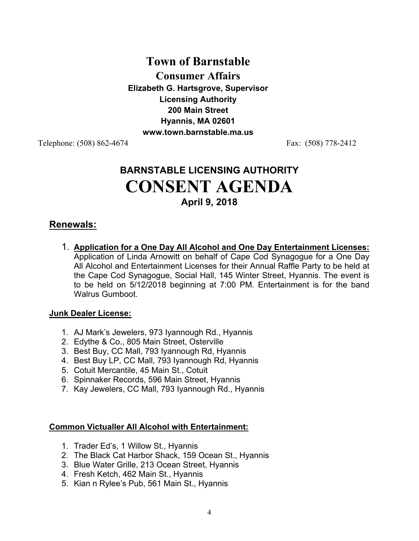# **Town of Barnstable Consumer Affairs Elizabeth G. Hartsgrove, Supervisor Licensing Authority 200 Main Street Hyannis, MA 02601 www.town.barnstable.ma.us**

Telephone: (508) 862-4674 Fax: (508) 778-2412

# **BARNSTABLE LICENSING AUTHORITY CONSENT AGENDA April 9, 2018**

## **Renewals:**

1. **Application for a One Day All Alcohol and One Day Entertainment Licenses:** Application of Linda Arnowitt on behalf of Cape Cod Synagogue for a One Day All Alcohol and Entertainment Licenses for their Annual Raffle Party to be held at the Cape Cod Synagogue, Social Hall, 145 Winter Street, Hyannis. The event is to be held on 5/12/2018 beginning at 7:00 PM. Entertainment is for the band Walrus Gumboot.

#### **Junk Dealer License:**

- 1. AJ Mark's Jewelers, 973 Iyannough Rd., Hyannis
- 2. Edythe & Co., 805 Main Street, Osterville
- 3. Best Buy, CC Mall, 793 Iyannough Rd, Hyannis
- 4. Best Buy LP, CC Mall, 793 Iyannough Rd, Hyannis
- 5. Cotuit Mercantile, 45 Main St., Cotuit
- 6. Spinnaker Records, 596 Main Street, Hyannis
- 7. Kay Jewelers, CC Mall, 793 Iyannough Rd., Hyannis

#### **Common Victualler All Alcohol with Entertainment:**

- 1. Trader Ed's, 1 Willow St., Hyannis
- 2. The Black Cat Harbor Shack, 159 Ocean St., Hyannis
- 3. Blue Water Grille, 213 Ocean Street, Hyannis
- 4. Fresh Ketch, 462 Main St., Hyannis
- 5. Kian n Rylee's Pub, 561 Main St., Hyannis